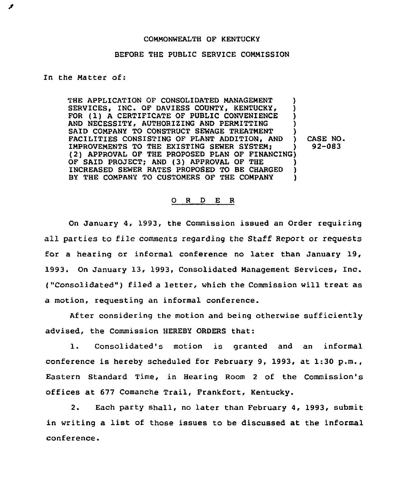## COMMONWEALTH OF KENTUCKY

## BEFORE THE PUBLIC SERVICE COMMISSION

In the Matter of:

THE APPLICATION OF CONSOLIDATED MANAGEMENT SERVICES, INC. OF DAVIESS COUNTY, KENTUCKY, FOR (1) A CERTIFICATE OF PUBLIC CONVENIENCE AND NECESSITY, AUTHORIZING AND PERMITTING SAID COMPANY TO CONSTRUCT SEWAGE TREATMENT FACILITIES CONSISTING OF PLANT ADDITION, AND IMPROVEMENTS TO THE EXISTING SEWER SYSTEM; ) (2) APPROVAL OF THE PROPOSED PLAN OF FINANCING) OF SAID PROJECT; AND (3) APPROVAL OF THE )<br>INCREASED SEWER RATES PROPOSED TO BE CHARGED ) INCREASED SEWER RATES PROPOSED TO BE CHARGED )<br>BY THE COMPANY TO CUSTOMERS OF THE COMPANY BY THE COMPANY TO CUSTOMERS OF THE COMPANY CASE NO. 92-083

## 0 <sup>R</sup> <sup>D</sup> E R

On January 4, 1993, the Commission issued an Order requiring all parties to file comments regarding the Staff Report or requests for a hearing or informal conference no later than January 19, 1993. On January 13, 1993, Consolidated Management Services, Inc. ("Consolidated" ) filed <sup>a</sup> letter, which the Commission will treat as a motion, requesting an informal conference.

After considering the motion and being otherwise sufficiently advised, the Commission HEREBY ORDERS that:

1. Consolidated's motion is granted and an informal conference is hereby scheduled for February 9, 1993, at 1:30 p.m., Eastern Standard Time, in Bearing Room 2 of the Commission's offices at 677 Comanche Trail, Frankfort, Kentucky.

2. Each party shall, no later than February 4, 1993, submit in writing a list of those issues to be discussed at the informal conference.